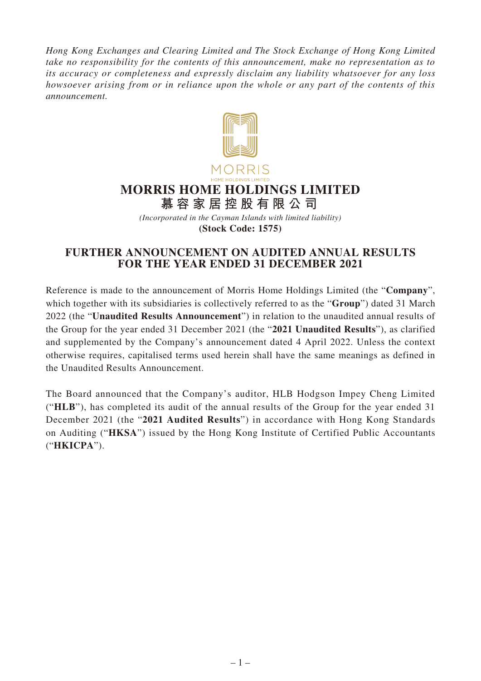*Hong Kong Exchanges and Clearing Limited and The Stock Exchange of Hong Kong Limited take no responsibility for the contents of this announcement, make no representation as to its accuracy or completeness and expressly disclaim any liability whatsoever for any loss howsoever arising from or in reliance upon the whole or any part of the contents of this announcement.*



# **MORRIS HOME HOLDINGS LIMITED**

**慕容家居控股有限公司**

*(Incorporated in the Cayman Islands with limited liability)* **(Stock Code: 1575)**

# **FURTHER ANNOUNCEMENT ON AUDITED ANNUAL RESULTS FOR THE YEAR ENDED 31 DECEMBER 2021**

Reference is made to the announcement of Morris Home Holdings Limited (the "**Company**", which together with its subsidiaries is collectively referred to as the "**Group**") dated 31 March 2022 (the "**Unaudited Results Announcement**") in relation to the unaudited annual results of the Group for the year ended 31 December 2021 (the "**2021 Unaudited Results**"), as clarified and supplemented by the Company's announcement dated 4 April 2022. Unless the context otherwise requires, capitalised terms used herein shall have the same meanings as defined in the Unaudited Results Announcement.

The Board announced that the Company's auditor, HLB Hodgson Impey Cheng Limited ("**HLB**"), has completed its audit of the annual results of the Group for the year ended 31 December 2021 (the "**2021 Audited Results**") in accordance with Hong Kong Standards on Auditing ("**HKSA**") issued by the Hong Kong Institute of Certified Public Accountants ("**HKICPA**").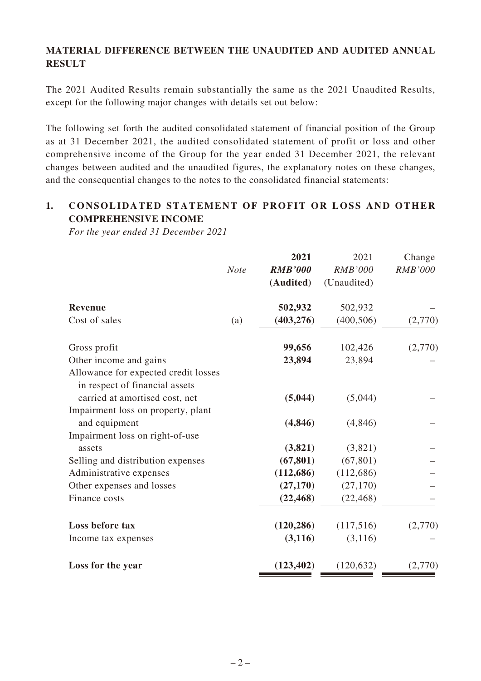# **MATERIAL DIFFERENCE BETWEEN THE UNAUDITED AND AUDITED ANNUAL RESULT**

The 2021 Audited Results remain substantially the same as the 2021 Unaudited Results, except for the following major changes with details set out below:

The following set forth the audited consolidated statement of financial position of the Group as at 31 December 2021, the audited consolidated statement of profit or loss and other comprehensive income of the Group for the year ended 31 December 2021, the relevant changes between audited and the unaudited figures, the explanatory notes on these changes, and the consequential changes to the notes to the consolidated financial statements:

# **1. CONSOLIDATED STATEMENT OF PROFIT OR LOSS AND OTHER COMPREHENSIVE INCOME**

*For the year ended 31 December 2021*

|             | 2021                                 | 2021              | Change         |
|-------------|--------------------------------------|-------------------|----------------|
| <b>Note</b> | <b>RMB'000</b>                       | <b>RMB'000</b>    | <b>RMB'000</b> |
|             | (Audited)                            | (Unaudited)       |                |
|             | 502,932                              | 502,932           |                |
| (a)         | (403, 276)                           | (400, 506)        | (2,770)        |
|             | 99,656                               | 102,426           | (2,770)        |
|             |                                      | 23,894            |                |
|             |                                      |                   |                |
|             |                                      |                   |                |
|             | (4, 846)                             | (4,846)           |                |
|             |                                      |                   |                |
|             | (3,821)                              | (3,821)           |                |
|             | (67, 801)                            | (67, 801)         |                |
|             | (112, 686)                           | (112,686)         |                |
|             | (27, 170)                            | (27,170)          |                |
|             | (22, 468)                            | (22, 468)         |                |
|             | (120, 286)                           | (117,516)         | (2,770)        |
|             | (3, 116)                             | (3,116)           |                |
|             | (123, 402)                           | (120, 632)        | (2,770)        |
|             | Allowance for expected credit losses | 23,894<br>(5,044) | (5,044)        |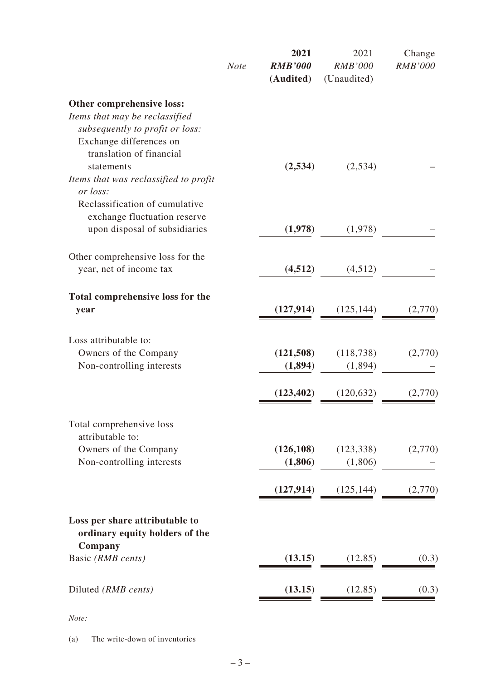|                                                                                                | <b>Note</b> | 2021<br><b>RMB'000</b><br>(Audited) | 2021<br><b>RMB'000</b><br>(Unaudited) | Change<br><b>RMB'000</b> |
|------------------------------------------------------------------------------------------------|-------------|-------------------------------------|---------------------------------------|--------------------------|
| Other comprehensive loss:<br>Items that may be reclassified<br>subsequently to profit or loss: |             |                                     |                                       |                          |
| Exchange differences on<br>translation of financial<br>statements                              |             | (2,534)                             | (2,534)                               |                          |
| Items that was reclassified to profit<br>or loss:<br>Reclassification of cumulative            |             |                                     |                                       |                          |
| exchange fluctuation reserve<br>upon disposal of subsidiaries                                  |             | (1,978)                             | (1,978)                               |                          |
| Other comprehensive loss for the<br>year, net of income tax                                    |             | (4,512)                             | (4,512)                               |                          |
| Total comprehensive loss for the<br>year                                                       |             | (127, 914)                          | (125, 144)                            | (2,770)                  |
| Loss attributable to:<br>Owners of the Company<br>Non-controlling interests                    |             | (121,508)<br>(1,894)                | (118, 738)<br>(1,894)                 | (2,770)                  |
|                                                                                                |             | (123, 402)                          | (120, 632)                            | (2,770)                  |
| Total comprehensive loss<br>attributable to:                                                   |             |                                     |                                       |                          |
| Owners of the Company<br>Non-controlling interests                                             |             | (126, 108)<br>(1,806)               | (123, 338)<br>(1,806)                 | (2,770)                  |
|                                                                                                |             | (127, 914)                          | (125, 144)                            | (2,770)                  |
| Loss per share attributable to<br>ordinary equity holders of the                               |             |                                     |                                       |                          |
| Company<br>Basic (RMB cents)                                                                   |             | (13.15)                             | (12.85)                               | (0.3)                    |
| Diluted (RMB cents)                                                                            |             | (13.15)                             | (12.85)                               | (0.3)                    |

*Note:*

(a) The write-down of inventories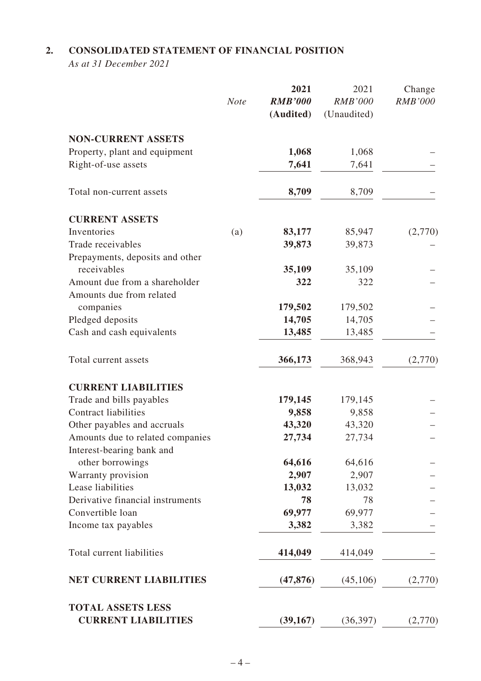# **2. CONSOLIDATED STATEMENT OF FINANCIAL POSITION**

*As at 31 December 2021*

|                                  |             | 2021           | 2021           | Change         |
|----------------------------------|-------------|----------------|----------------|----------------|
|                                  | <b>Note</b> | <b>RMB'000</b> | <b>RMB'000</b> | <b>RMB'000</b> |
|                                  |             | (Audited)      | (Unaudited)    |                |
| <b>NON-CURRENT ASSETS</b>        |             |                |                |                |
| Property, plant and equipment    |             | 1,068          | 1,068          |                |
| Right-of-use assets              |             | 7,641          | 7,641          |                |
| Total non-current assets         |             | 8,709          | 8,709          |                |
| <b>CURRENT ASSETS</b>            |             |                |                |                |
| Inventories                      | (a)         | 83,177         | 85,947         | (2,770)        |
| Trade receivables                |             | 39,873         | 39,873         |                |
| Prepayments, deposits and other  |             |                |                |                |
| receivables                      |             | 35,109         | 35,109         |                |
| Amount due from a shareholder    |             | 322            | 322            |                |
| Amounts due from related         |             |                |                |                |
| companies                        |             | 179,502        | 179,502        |                |
| Pledged deposits                 |             | 14,705         | 14,705         |                |
| Cash and cash equivalents        |             | 13,485         | 13,485         |                |
| Total current assets             |             | 366,173        | 368,943        | (2,770)        |
| <b>CURRENT LIABILITIES</b>       |             |                |                |                |
| Trade and bills payables         |             | 179,145        | 179,145        |                |
| <b>Contract liabilities</b>      |             | 9,858          | 9,858          |                |
| Other payables and accruals      |             | 43,320         | 43,320         |                |
| Amounts due to related companies |             | 27,734         | 27,734         |                |
| Interest-bearing bank and        |             |                |                |                |
| other borrowings                 |             | 64,616         | 64,616         |                |
| Warranty provision               |             | 2,907          | 2,907          |                |
| Lease liabilities                |             | 13,032         | 13,032         |                |
| Derivative financial instruments |             | 78             | 78             |                |
| Convertible loan                 |             | 69,977         | 69,977         |                |
| Income tax payables              |             | 3,382          | 3,382          |                |
| Total current liabilities        |             | 414,049        | 414,049        |                |
| <b>NET CURRENT LIABILITIES</b>   |             | (47, 876)      | (45,106)       | (2,770)        |
| <b>TOTAL ASSETS LESS</b>         |             |                |                |                |
| <b>CURRENT LIABILITIES</b>       |             | (39, 167)      | (36, 397)      | (2,770)        |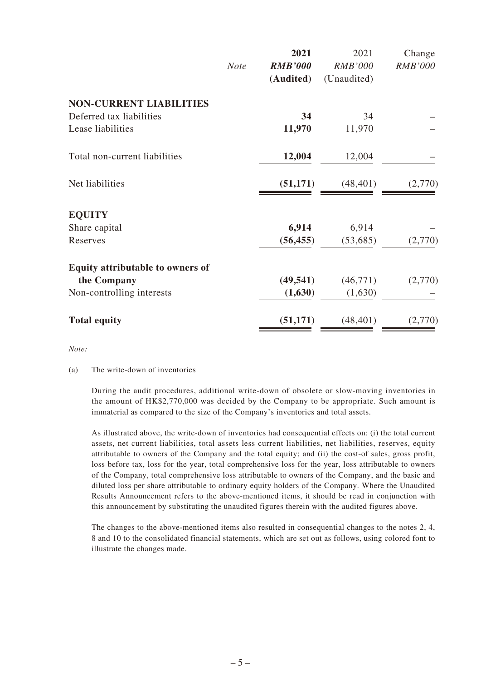|                                  |             | 2021           | 2021           | Change         |
|----------------------------------|-------------|----------------|----------------|----------------|
|                                  | <b>Note</b> | <b>RMB'000</b> | <b>RMB'000</b> | <b>RMB'000</b> |
|                                  |             | (Audited)      | (Unaudited)    |                |
| <b>NON-CURRENT LIABILITIES</b>   |             |                |                |                |
| Deferred tax liabilities         |             | 34             | 34             |                |
| Lease liabilities                |             | 11,970         | 11,970         |                |
| Total non-current liabilities    |             | 12,004         | 12,004         |                |
| Net liabilities                  |             | (51, 171)      | (48, 401)      | (2,770)        |
| <b>EQUITY</b>                    |             |                |                |                |
| Share capital                    |             | 6,914          | 6,914          |                |
| Reserves                         |             | (56, 455)      | (53,685)       | (2,770)        |
| Equity attributable to owners of |             |                |                |                |
| the Company                      |             | (49, 541)      | (46,771)       | (2,770)        |
| Non-controlling interests        |             | (1,630)        | (1,630)        |                |
| <b>Total equity</b>              |             | (51, 171)      | (48, 401)      | (2,770)        |
|                                  |             |                |                |                |

*Note:*

#### (a) The write-down of inventories

During the audit procedures, additional write-down of obsolete or slow-moving inventories in the amount of HK\$2,770,000 was decided by the Company to be appropriate. Such amount is immaterial as compared to the size of the Company's inventories and total assets.

As illustrated above, the write-down of inventories had consequential effects on: (i) the total current assets, net current liabilities, total assets less current liabilities, net liabilities, reserves, equity attributable to owners of the Company and the total equity; and (ii) the cost-of sales, gross profit, loss before tax, loss for the year, total comprehensive loss for the year, loss attributable to owners of the Company, total comprehensive loss attributable to owners of the Company, and the basic and diluted loss per share attributable to ordinary equity holders of the Company. Where the Unaudited Results Announcement refers to the above-mentioned items, it should be read in conjunction with this announcement by substituting the unaudited figures therein with the audited figures above.

The changes to the above-mentioned items also resulted in consequential changes to the notes 2, 4, 8 and 10 to the consolidated financial statements, which are set out as follows, using colored font to illustrate the changes made.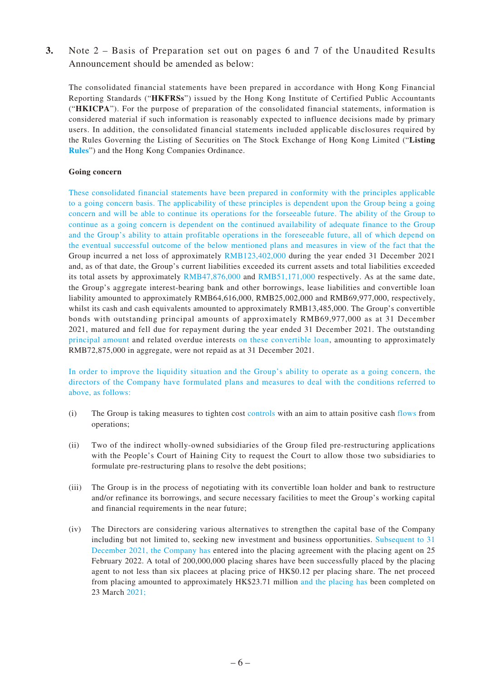**3.** Note 2 – Basis of Preparation set out on pages 6 and 7 of the Unaudited Results Announcement should be amended as below:

The consolidated financial statements have been prepared in accordance with Hong Kong Financial Reporting Standards ("**HKFRSs**") issued by the Hong Kong Institute of Certified Public Accountants ("**HKICPA**"). For the purpose of preparation of the consolidated financial statements, information is considered material if such information is reasonably expected to influence decisions made by primary users. In addition, the consolidated financial statements included applicable disclosures required by the Rules Governing the Listing of Securities on The Stock Exchange of Hong Kong Limited ("**Listing Rules**") and the Hong Kong Companies Ordinance.

#### **Going concern**

These consolidated financial statements have been prepared in conformity with the principles applicable to a going concern basis. The applicability of these principles is dependent upon the Group being a going concern and will be able to continue its operations for the forseeable future. The ability of the Group to continue as a going concern is dependent on the continued availability of adequate finance to the Group and the Group's ability to attain profitable operations in the foreseeable future, all of which depend on the eventual successful outcome of the below mentioned plans and measures in view of the fact that the Group incurred a net loss of approximately RMB123,402,000 during the year ended 31 December 2021 and, as of that date, the Group's current liabilities exceeded its current assets and total liabilities exceeded its total assets by approximately RMB47,876,000 and RMB51,171,000 respectively. As at the same date, the Group's aggregate interest-bearing bank and other borrowings, lease liabilities and convertible loan liability amounted to approximately RMB64,616,000, RMB25,002,000 and RMB69,977,000, respectively, whilst its cash and cash equivalents amounted to approximately RMB13,485,000. The Group's convertible bonds with outstanding principal amounts of approximately RMB69,977,000 as at 31 December 2021, matured and fell due for repayment during the year ended 31 December 2021. The outstanding principal amount and related overdue interests on these convertible loan, amounting to approximately RMB72,875,000 in aggregate, were not repaid as at 31 December 2021.

In order to improve the liquidity situation and the Group's ability to operate as a going concern, the directors of the Company have formulated plans and measures to deal with the conditions referred to above, as follows:

- (i) The Group is taking measures to tighten cost controls with an aim to attain positive cash flows from operations;
- (ii) Two of the indirect wholly-owned subsidiaries of the Group filed pre-restructuring applications with the People's Court of Haining City to request the Court to allow those two subsidiaries to formulate pre-restructuring plans to resolve the debt positions;
- (iii) The Group is in the process of negotiating with its convertible loan holder and bank to restructure and/or refinance its borrowings, and secure necessary facilities to meet the Group's working capital and financial requirements in the near future;
- (iv) The Directors are considering various alternatives to strengthen the capital base of the Company including but not limited to, seeking new investment and business opportunities. Subsequent to 31 December 2021, the Company has entered into the placing agreement with the placing agent on 25 February 2022. A total of 200,000,000 placing shares have been successfully placed by the placing agent to not less than six placees at placing price of HK\$0.12 per placing share. The net proceed from placing amounted to approximately HK\$23.71 million and the placing has been completed on 23 March 2021;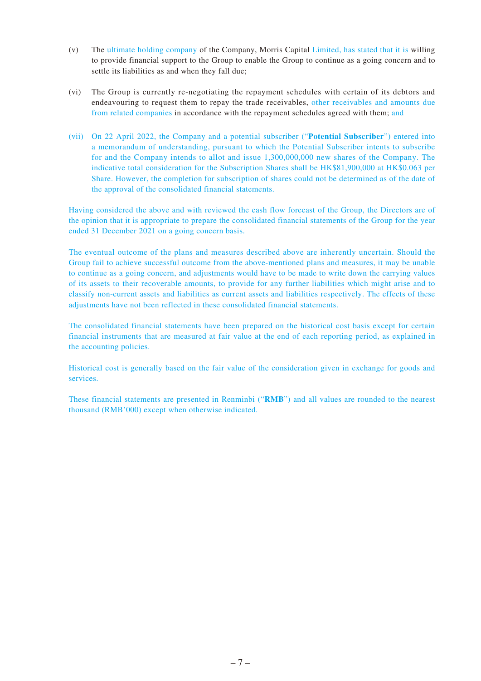- (v) The ultimate holding company of the Company, Morris Capital Limited, has stated that it is willing to provide financial support to the Group to enable the Group to continue as a going concern and to settle its liabilities as and when they fall due;
- (vi) The Group is currently re-negotiating the repayment schedules with certain of its debtors and endeavouring to request them to repay the trade receivables, other receivables and amounts due from related companies in accordance with the repayment schedules agreed with them; and
- (vii) On 22 April 2022, the Company and a potential subscriber ("**Potential Subscriber**") entered into a memorandum of understanding, pursuant to which the Potential Subscriber intents to subscribe for and the Company intends to allot and issue 1,300,000,000 new shares of the Company. The indicative total consideration for the Subscription Shares shall be HK\$81,900,000 at HK\$0.063 per Share. However, the completion for subscription of shares could not be determined as of the date of the approval of the consolidated financial statements.

Having considered the above and with reviewed the cash flow forecast of the Group, the Directors are of the opinion that it is appropriate to prepare the consolidated financial statements of the Group for the year ended 31 December 2021 on a going concern basis.

The eventual outcome of the plans and measures described above are inherently uncertain. Should the Group fail to achieve successful outcome from the above-mentioned plans and measures, it may be unable to continue as a going concern, and adjustments would have to be made to write down the carrying values of its assets to their recoverable amounts, to provide for any further liabilities which might arise and to classify non-current assets and liabilities as current assets and liabilities respectively. The effects of these adjustments have not been reflected in these consolidated financial statements.

The consolidated financial statements have been prepared on the historical cost basis except for certain financial instruments that are measured at fair value at the end of each reporting period, as explained in the accounting policies.

Historical cost is generally based on the fair value of the consideration given in exchange for goods and services.

These financial statements are presented in Renminbi ("**RMB**") and all values are rounded to the nearest thousand (RMB'000) except when otherwise indicated.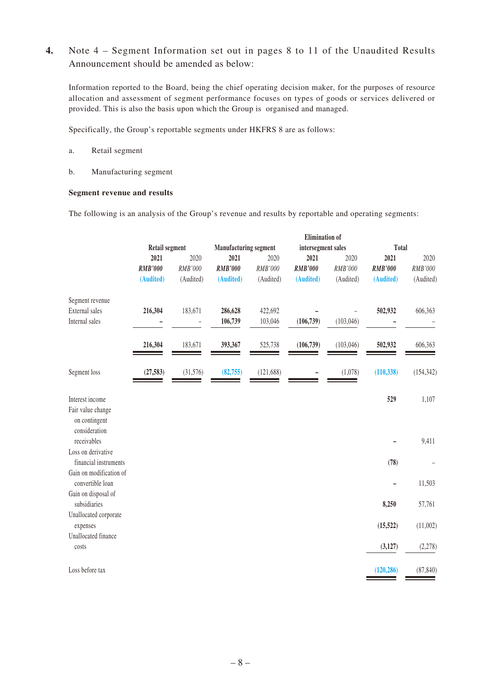### **4.** Note 4 – Segment Information set out in pages 8 to 11 of the Unaudited Results Announcement should be amended as below:

Information reported to the Board, being the chief operating decision maker, for the purposes of resource allocation and assessment of segment performance focuses on types of goods or services delivered or provided. This is also the basis upon which the Group is organised and managed.

Specifically, the Group's reportable segments under HKFRS 8 are as follows:

- a. Retail segment
- b. Manufacturing segment

#### **Segment revenue and results**

The following is an analysis of the Group's revenue and results by reportable and operating segments:

|                                                     | <b>Elimination</b> of |                       |                |                              |                |                    |                |            |
|-----------------------------------------------------|-----------------------|-----------------------|----------------|------------------------------|----------------|--------------------|----------------|------------|
|                                                     |                       | <b>Retail segment</b> |                | <b>Manufacturing segment</b> |                | intersegment sales |                | Total      |
|                                                     | 2021                  | 2020                  | 2021           | 2020                         | 2021           | 2020               | 2021           | 2020       |
|                                                     | <b>RMB'000</b>        | RMB'000               | <b>RMB'000</b> | RMB'000                      | <b>RMB'000</b> | RMB'000            | <b>RMB'000</b> | RMB'000    |
|                                                     | (Audited)             | (Audited)             | (Audited)      | (Audited)                    | (Audited)      | (Audited)          | (Audited)      | (Audited)  |
| Segment revenue                                     |                       |                       |                |                              |                |                    |                |            |
| External sales                                      | 216,304               | 183,671               | 286,628        | 422,692                      |                |                    | 502,932        | 606,363    |
| Internal sales                                      |                       |                       | 106,739        | 103,046                      | (106, 739)     | (103, 046)         |                |            |
|                                                     | 216,304               | 183,671               | 393,367        | 525,738                      | (106, 739)     | (103, 046)         | 502,932        | 606,363    |
| Segment loss                                        | (27, 583)             | (31, 576)             | (82, 755)      | (121, 688)                   |                | (1,078)            | (110, 338)     | (154, 342) |
| Interest income                                     |                       |                       |                |                              |                |                    | 529            | 1,107      |
| Fair value change<br>on contingent<br>consideration |                       |                       |                |                              |                |                    |                |            |
| receivables                                         |                       |                       |                |                              |                |                    |                | 9,411      |
| Loss on derivative                                  |                       |                       |                |                              |                |                    |                |            |
| financial instruments                               |                       |                       |                |                              |                |                    | (78)           |            |
| Gain on modification of<br>convertible loan         |                       |                       |                |                              |                |                    |                | 11,503     |
| Gain on disposal of<br>subsidiaries                 |                       |                       |                |                              |                |                    | 8,250          | 57,761     |
| Unallocated corporate<br>expenses                   |                       |                       |                |                              |                |                    | (15, 522)      | (11,002)   |
| Unallocated finance                                 |                       |                       |                |                              |                |                    |                |            |
| costs                                               |                       |                       |                |                              |                |                    | (3, 127)       | (2,278)    |
| Loss before tax                                     |                       |                       |                |                              |                |                    | (120, 286)     | (87, 840)  |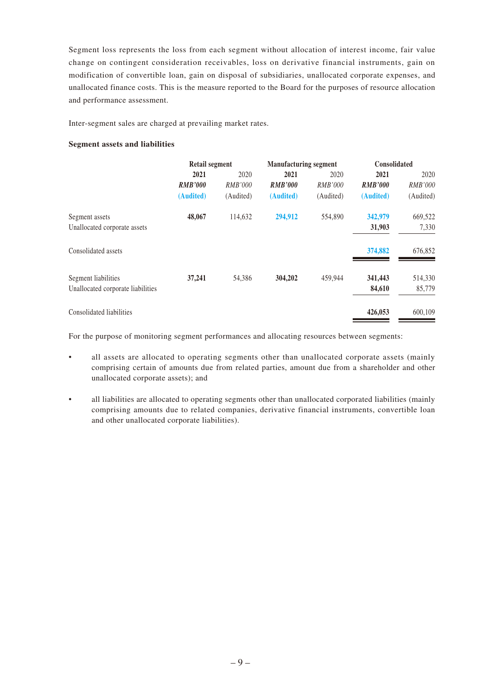Segment loss represents the loss from each segment without allocation of interest income, fair value change on contingent consideration receivables, loss on derivative financial instruments, gain on modification of convertible loan, gain on disposal of subsidiaries, unallocated corporate expenses, and unallocated finance costs. This is the measure reported to the Board for the purposes of resource allocation and performance assessment.

Inter-segment sales are charged at prevailing market rates.

#### **Segment assets and liabilities**

|                                   | Retail segment |                | <b>Manufacturing segment</b> |                | <b>Consolidated</b> |                |
|-----------------------------------|----------------|----------------|------------------------------|----------------|---------------------|----------------|
|                                   | 2021           | 2020           | 2021                         | 2020           | 2021                | 2020           |
|                                   | <b>RMB'000</b> | <b>RMB'000</b> | <b>RMB'000</b>               | <i>RMB'000</i> | <b>RMB'000</b>      | <i>RMB'000</i> |
|                                   | (Audited)      | (Audited)      | (Audited)                    | (Audited)      | (Audited)           | (Audited)      |
| Segment assets                    | 48,067         | 114,632        | 294,912                      | 554,890        | 342,979             | 669,522        |
| Unallocated corporate assets      |                |                |                              |                | 31,903              | 7,330          |
| Consolidated assets               |                |                |                              |                | 374,882             | 676,852        |
| Segment liabilities               | 37,241         | 54,386         | 304,202                      | 459,944        | 341,443             | 514,330        |
| Unallocated corporate liabilities |                |                |                              |                | 84,610              | 85,779         |
| Consolidated liabilities          |                |                |                              |                | 426,053             | 600,109        |

For the purpose of monitoring segment performances and allocating resources between segments:

- all assets are allocated to operating segments other than unallocated corporate assets (mainly comprising certain of amounts due from related parties, amount due from a shareholder and other unallocated corporate assets); and
- all liabilities are allocated to operating segments other than unallocated corporated liabilities (mainly comprising amounts due to related companies, derivative financial instruments, convertible loan and other unallocated corporate liabilities).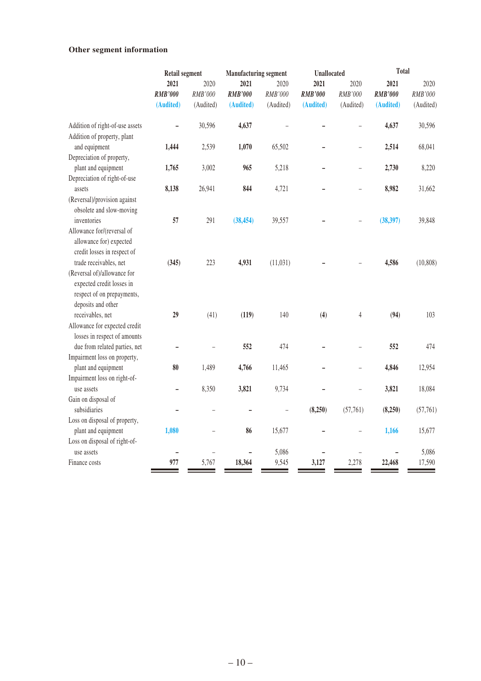### **Other segment information**

|                                 | Retail segment |           | <b>Manufacturing segment</b> |                          | <b>Unallocated</b> |                          | <b>Total</b>   |           |
|---------------------------------|----------------|-----------|------------------------------|--------------------------|--------------------|--------------------------|----------------|-----------|
|                                 | 2021<br>2020   |           | 2021                         | 2020                     | 2021               | 2020                     | 2021           | 2020      |
|                                 | <b>RMB'000</b> | RMB'000   | <b>RMB'000</b>               | RMB'000                  | <b>RMB'000</b>     | RMB'000                  | <b>RMB'000</b> | RMB'000   |
|                                 | (Audited)      | (Audited) | (Audited)                    | (Audited)                | (Audited)          | (Audited)                | (Audited)      | (Audited) |
| Addition of right-of-use assets |                | 30,596    | 4,637                        |                          |                    |                          | 4,637          | 30,596    |
| Addition of property, plant     |                |           |                              |                          |                    |                          |                |           |
| and equipment                   | 1,444          | 2,539     | 1,070                        | 65,502                   |                    | L,                       | 2,514          | 68,041    |
| Depreciation of property,       |                |           |                              |                          |                    |                          |                |           |
| plant and equipment             | 1,765          | 3,002     | 965                          | 5,218                    |                    | $\overline{a}$           | 2,730          | 8,220     |
| Depreciation of right-of-use    |                |           |                              |                          |                    |                          |                |           |
| assets                          | 8,138          | 26,941    | 844                          | 4,721                    |                    | $\overline{a}$           | 8,982          | 31,662    |
| (Reversal)/provision against    |                |           |                              |                          |                    |                          |                |           |
| obsolete and slow-moving        |                |           |                              |                          |                    |                          |                |           |
| inventories                     | 57             | 291       | (38, 454)                    | 39,557                   |                    |                          | (38, 397)      | 39,848    |
| Allowance for/(reversal of      |                |           |                              |                          |                    |                          |                |           |
| allowance for) expected         |                |           |                              |                          |                    |                          |                |           |
| credit losses in respect of     |                |           |                              |                          |                    |                          |                |           |
| trade receivables, net          | (345)          | 223       | 4,931                        | (11, 031)                |                    |                          | 4,586          | (10, 808) |
| (Reversal of)/allowance for     |                |           |                              |                          |                    |                          |                |           |
| expected credit losses in       |                |           |                              |                          |                    |                          |                |           |
| respect of on prepayments,      |                |           |                              |                          |                    |                          |                |           |
| deposits and other              |                |           |                              |                          |                    |                          |                |           |
| receivables, net                | 29             | (41)      | (119)                        | 140                      | (4)                | $\overline{4}$           | (94)           | 103       |
| Allowance for expected credit   |                |           |                              |                          |                    |                          |                |           |
| losses in respect of amounts    |                |           |                              |                          |                    |                          |                |           |
| due from related parties, net   |                |           | 552                          | 474                      |                    |                          | 552            | 474       |
| Impairment loss on property,    |                |           |                              |                          |                    |                          |                |           |
| plant and equipment             | 80             | 1,489     | 4,766                        | 11,465                   |                    | $\overline{\phantom{0}}$ | 4,846          | 12,954    |
| Impairment loss on right-of-    |                |           |                              |                          |                    |                          |                |           |
| use assets                      | -              | 8,350     | 3,821                        | 9,734                    |                    |                          | 3,821          | 18,084    |
| Gain on disposal of             |                |           |                              |                          |                    |                          |                |           |
| subsidiaries                    |                |           |                              | $\overline{\phantom{0}}$ | (8,250)            | (57, 761)                | (8,250)        | (57, 761) |
| Loss on disposal of property,   |                |           |                              |                          |                    |                          |                |           |
| plant and equipment             | 1,080          |           | 86                           | 15,677                   |                    |                          | 1,166          | 15,677    |
| Loss on disposal of right-of-   |                |           |                              |                          |                    |                          |                |           |
| use assets                      |                |           | $\overline{\phantom{0}}$     | 5,086                    |                    |                          |                | 5,086     |
| Finance costs                   | 977            | 5,767     | 18,364                       | 9,545                    | 3,127              | 2,278                    | 22,468         | 17,590    |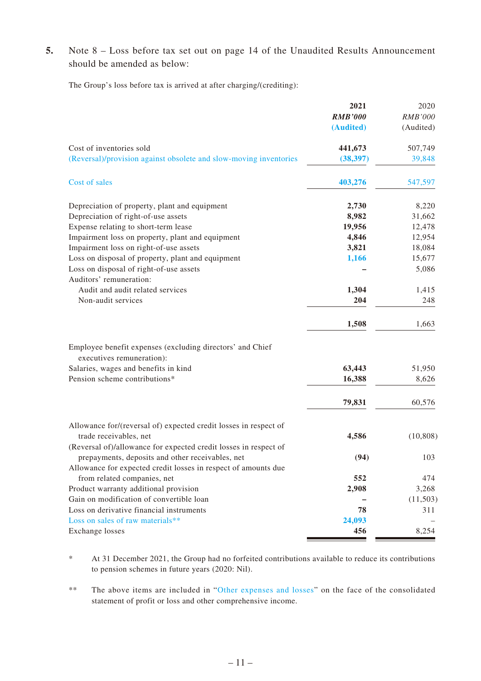**5.** Note 8 – Loss before tax set out on page 14 of the Unaudited Results Announcement should be amended as below:

The Group's loss before tax is arrived at after charging/(crediting):

|                                                                                        | 2021           | 2020           |
|----------------------------------------------------------------------------------------|----------------|----------------|
|                                                                                        | <b>RMB'000</b> | <b>RMB'000</b> |
|                                                                                        | (Audited)      | (Audited)      |
| Cost of inventories sold                                                               | 441,673        | 507,749        |
| (Reversal)/provision against obsolete and slow-moving inventories                      | (38, 397)      | 39,848         |
| Cost of sales                                                                          | 403,276        | 547,597        |
| Depreciation of property, plant and equipment                                          | 2,730          | 8,220          |
| Depreciation of right-of-use assets                                                    | 8,982          | 31,662         |
| Expense relating to short-term lease                                                   | 19,956         | 12,478         |
| Impairment loss on property, plant and equipment                                       | 4,846          | 12,954         |
| Impairment loss on right-of-use assets                                                 | 3,821          | 18,084         |
| Loss on disposal of property, plant and equipment                                      | 1,166          | 15,677         |
| Loss on disposal of right-of-use assets<br>Auditors' remuneration:                     |                | 5,086          |
| Audit and audit related services                                                       | 1,304          | 1,415          |
| Non-audit services                                                                     | 204            | 248            |
|                                                                                        | 1,508          | 1,663          |
| Employee benefit expenses (excluding directors' and Chief<br>executives remuneration): |                |                |
| Salaries, wages and benefits in kind                                                   | 63,443         | 51,950         |
| Pension scheme contributions*                                                          | 16,388         | 8,626          |
|                                                                                        |                |                |
|                                                                                        | 79,831         | 60,576         |
| Allowance for/(reversal of) expected credit losses in respect of                       |                |                |
| trade receivables, net                                                                 | 4,586          | (10, 808)      |
| (Reversal of)/allowance for expected credit losses in respect of                       |                |                |
| prepayments, deposits and other receivables, net                                       | (94)           | 103            |
| Allowance for expected credit losses in respect of amounts due                         |                |                |
| from related companies, net                                                            | 552            | 474            |
| Product warranty additional provision                                                  | 2,908          | 3,268          |
| Gain on modification of convertible loan                                               |                | (11,503)       |
| Loss on derivative financial instruments                                               | 78             | 311            |
| Loss on sales of raw materials**                                                       | 24,093         |                |
| Exchange losses                                                                        | 456            | 8,254          |

\* At 31 December 2021, the Group had no forfeited contributions available to reduce its contributions to pension schemes in future years (2020: Nil).

\*\* The above items are included in "Other expenses and losses" on the face of the consolidated statement of profit or loss and other comprehensive income.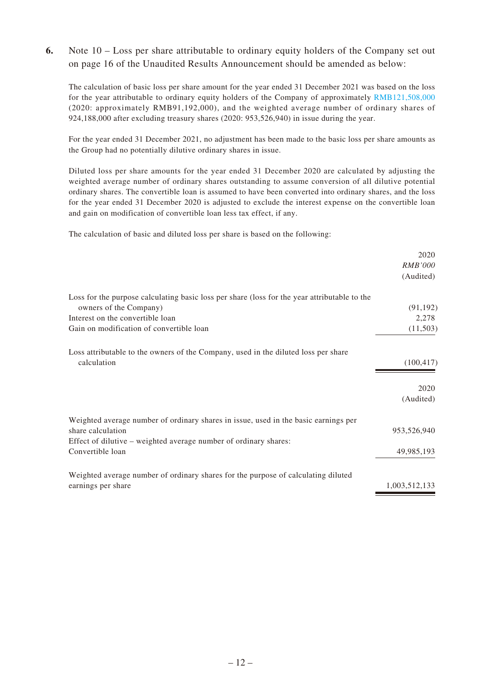### **6.** Note 10 – Loss per share attributable to ordinary equity holders of the Company set out on page 16 of the Unaudited Results Announcement should be amended as below:

The calculation of basic loss per share amount for the year ended 31 December 2021 was based on the loss for the year attributable to ordinary equity holders of the Company of approximately RMB121,508,000 (2020: approximately RMB91,192,000), and the weighted average number of ordinary shares of 924,188,000 after excluding treasury shares (2020: 953,526,940) in issue during the year.

For the year ended 31 December 2021, no adjustment has been made to the basic loss per share amounts as the Group had no potentially dilutive ordinary shares in issue.

Diluted loss per share amounts for the year ended 31 December 2020 are calculated by adjusting the weighted average number of ordinary shares outstanding to assume conversion of all dilutive potential ordinary shares. The convertible loan is assumed to have been converted into ordinary shares, and the loss for the year ended 31 December 2020 is adjusted to exclude the interest expense on the convertible loan and gain on modification of convertible loan less tax effect, if any.

The calculation of basic and diluted loss per share is based on the following:

| 2020<br><b>RMB'000</b> |
|------------------------|
| (Audited)              |
|                        |
| (91, 192)              |
| 2,278                  |
| (11,503)               |
|                        |
| (100, 417)             |
| 2020                   |
| (Audited)              |
|                        |
| 953,526,940            |
|                        |
| 49,985,193             |
|                        |
| 1,003,512,133          |
|                        |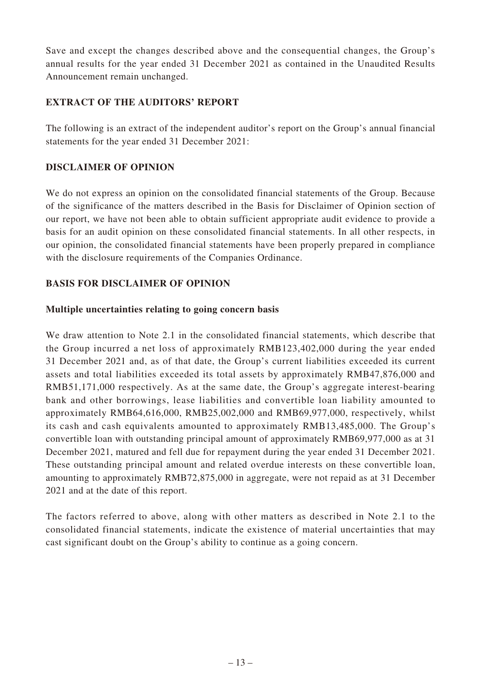Save and except the changes described above and the consequential changes, the Group's annual results for the year ended 31 December 2021 as contained in the Unaudited Results Announcement remain unchanged.

# **EXTRACT OF THE AUDITORS' REPORT**

The following is an extract of the independent auditor's report on the Group's annual financial statements for the year ended 31 December 2021:

# **DISCLAIMER OF OPINION**

We do not express an opinion on the consolidated financial statements of the Group. Because of the significance of the matters described in the Basis for Disclaimer of Opinion section of our report, we have not been able to obtain sufficient appropriate audit evidence to provide a basis for an audit opinion on these consolidated financial statements. In all other respects, in our opinion, the consolidated financial statements have been properly prepared in compliance with the disclosure requirements of the Companies Ordinance.

# **BASIS FOR DISCLAIMER OF OPINION**

### **Multiple uncertainties relating to going concern basis**

We draw attention to Note 2.1 in the consolidated financial statements, which describe that the Group incurred a net loss of approximately RMB123,402,000 during the year ended 31 December 2021 and, as of that date, the Group's current liabilities exceeded its current assets and total liabilities exceeded its total assets by approximately RMB47,876,000 and RMB51,171,000 respectively. As at the same date, the Group's aggregate interest-bearing bank and other borrowings, lease liabilities and convertible loan liability amounted to approximately RMB64,616,000, RMB25,002,000 and RMB69,977,000, respectively, whilst its cash and cash equivalents amounted to approximately RMB13,485,000. The Group's convertible loan with outstanding principal amount of approximately RMB69,977,000 as at 31 December 2021, matured and fell due for repayment during the year ended 31 December 2021. These outstanding principal amount and related overdue interests on these convertible loan, amounting to approximately RMB72,875,000 in aggregate, were not repaid as at 31 December 2021 and at the date of this report.

The factors referred to above, along with other matters as described in Note 2.1 to the consolidated financial statements, indicate the existence of material uncertainties that may cast significant doubt on the Group's ability to continue as a going concern.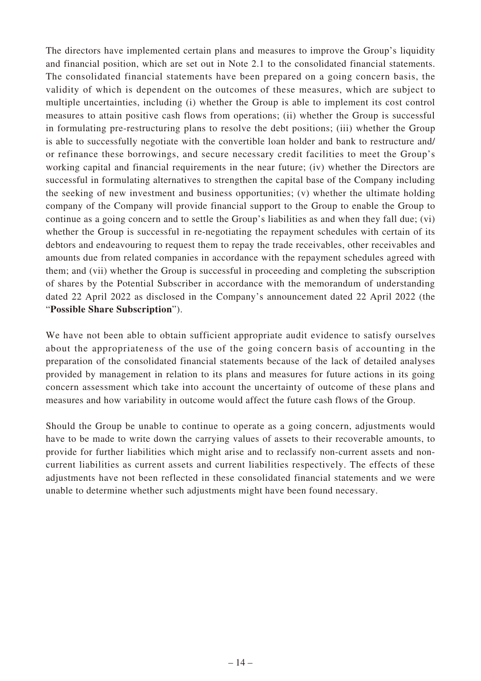The directors have implemented certain plans and measures to improve the Group's liquidity and financial position, which are set out in Note 2.1 to the consolidated financial statements. The consolidated financial statements have been prepared on a going concern basis, the validity of which is dependent on the outcomes of these measures, which are subject to multiple uncertainties, including (i) whether the Group is able to implement its cost control measures to attain positive cash flows from operations; (ii) whether the Group is successful in formulating pre-restructuring plans to resolve the debt positions; (iii) whether the Group is able to successfully negotiate with the convertible loan holder and bank to restructure and/ or refinance these borrowings, and secure necessary credit facilities to meet the Group's working capital and financial requirements in the near future; (iv) whether the Directors are successful in formulating alternatives to strengthen the capital base of the Company including the seeking of new investment and business opportunities; (v) whether the ultimate holding company of the Company will provide financial support to the Group to enable the Group to continue as a going concern and to settle the Group's liabilities as and when they fall due; (vi) whether the Group is successful in re-negotiating the repayment schedules with certain of its debtors and endeavouring to request them to repay the trade receivables, other receivables and amounts due from related companies in accordance with the repayment schedules agreed with them; and (vii) whether the Group is successful in proceeding and completing the subscription of shares by the Potential Subscriber in accordance with the memorandum of understanding dated 22 April 2022 as disclosed in the Company's announcement dated 22 April 2022 (the "**Possible Share Subscription**").

We have not been able to obtain sufficient appropriate audit evidence to satisfy ourselves about the appropriateness of the use of the going concern basis of accounting in the preparation of the consolidated financial statements because of the lack of detailed analyses provided by management in relation to its plans and measures for future actions in its going concern assessment which take into account the uncertainty of outcome of these plans and measures and how variability in outcome would affect the future cash flows of the Group.

Should the Group be unable to continue to operate as a going concern, adjustments would have to be made to write down the carrying values of assets to their recoverable amounts, to provide for further liabilities which might arise and to reclassify non-current assets and noncurrent liabilities as current assets and current liabilities respectively. The effects of these adjustments have not been reflected in these consolidated financial statements and we were unable to determine whether such adjustments might have been found necessary.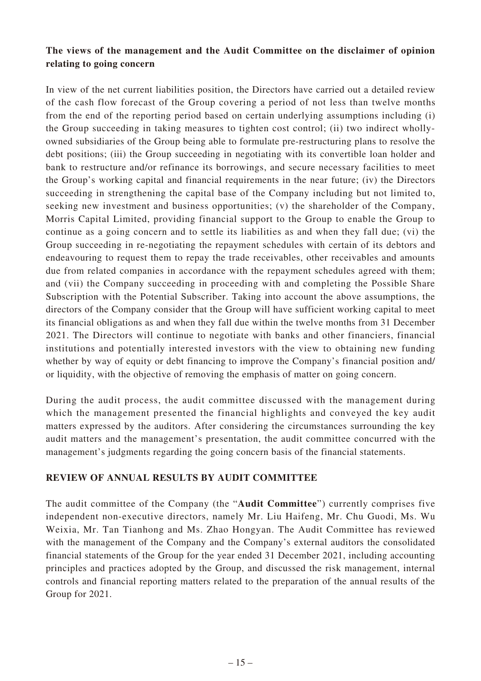## **The views of the management and the Audit Committee on the disclaimer of opinion relating to going concern**

In view of the net current liabilities position, the Directors have carried out a detailed review of the cash flow forecast of the Group covering a period of not less than twelve months from the end of the reporting period based on certain underlying assumptions including (i) the Group succeeding in taking measures to tighten cost control; (ii) two indirect whollyowned subsidiaries of the Group being able to formulate pre-restructuring plans to resolve the debt positions; (iii) the Group succeeding in negotiating with its convertible loan holder and bank to restructure and/or refinance its borrowings, and secure necessary facilities to meet the Group's working capital and financial requirements in the near future; (iv) the Directors succeeding in strengthening the capital base of the Company including but not limited to, seeking new investment and business opportunities; (v) the shareholder of the Company, Morris Capital Limited, providing financial support to the Group to enable the Group to continue as a going concern and to settle its liabilities as and when they fall due; (vi) the Group succeeding in re-negotiating the repayment schedules with certain of its debtors and endeavouring to request them to repay the trade receivables, other receivables and amounts due from related companies in accordance with the repayment schedules agreed with them; and (vii) the Company succeeding in proceeding with and completing the Possible Share Subscription with the Potential Subscriber. Taking into account the above assumptions, the directors of the Company consider that the Group will have sufficient working capital to meet its financial obligations as and when they fall due within the twelve months from 31 December 2021. The Directors will continue to negotiate with banks and other financiers, financial institutions and potentially interested investors with the view to obtaining new funding whether by way of equity or debt financing to improve the Company's financial position and/ or liquidity, with the objective of removing the emphasis of matter on going concern.

During the audit process, the audit committee discussed with the management during which the management presented the financial highlights and conveyed the key audit matters expressed by the auditors. After considering the circumstances surrounding the key audit matters and the management's presentation, the audit committee concurred with the management's judgments regarding the going concern basis of the financial statements.

### **REVIEW OF ANNUAL RESULTS BY AUDIT COMMITTEE**

The audit committee of the Company (the "**Audit Committee**") currently comprises five independent non-executive directors, namely Mr. Liu Haifeng, Mr. Chu Guodi, Ms. Wu Weixia, Mr. Tan Tianhong and Ms. Zhao Hongyan. The Audit Committee has reviewed with the management of the Company and the Company's external auditors the consolidated financial statements of the Group for the year ended 31 December 2021, including accounting principles and practices adopted by the Group, and discussed the risk management, internal controls and financial reporting matters related to the preparation of the annual results of the Group for 2021.